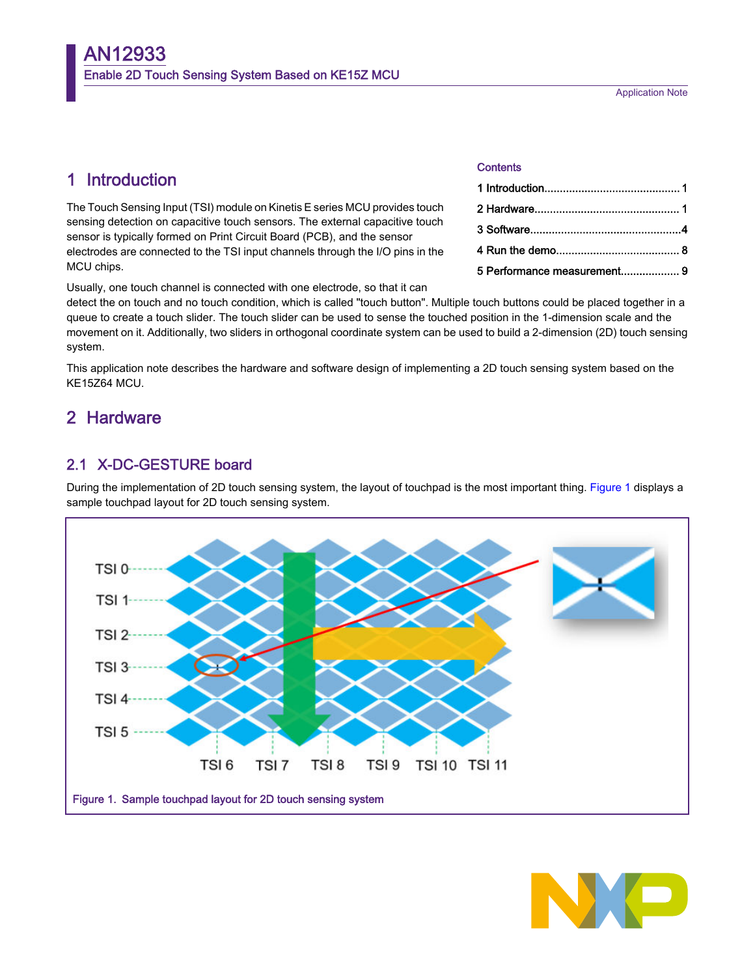Application Note

# <span id="page-0-0"></span>1 Introduction

The Touch Sensing Input (TSI) module on Kinetis E series MCU provides touch sensing detection on capacitive touch sensors. The external capacitive touch sensor is typically formed on Print Circuit Board (PCB), and the sensor electrodes are connected to the TSI input channels through the I/O pins in the MCU chips.

Usually, one touch channel is connected with one electrode, so that it can

detect the on touch and no touch condition, which is called "touch button". Multiple touch buttons could be placed together in a queue to create a touch slider. The touch slider can be used to sense the touched position in the 1-dimension scale and the movement on it. Additionally, two sliders in orthogonal coordinate system can be used to build a 2-dimension (2D) touch sensing system.

This application note describes the hardware and software design of implementing a 2D touch sensing system based on the KE15Z64 MCU.

# 2 Hardware

# 2.1 X-DC-GESTURE board

During the implementation of 2D touch sensing system, the layout of touchpad is the most important thing. Figure 1 displays a sample touchpad layout for 2D touch sensing system.





### **Contents**

| 5 Performance measurement 9 |  |
|-----------------------------|--|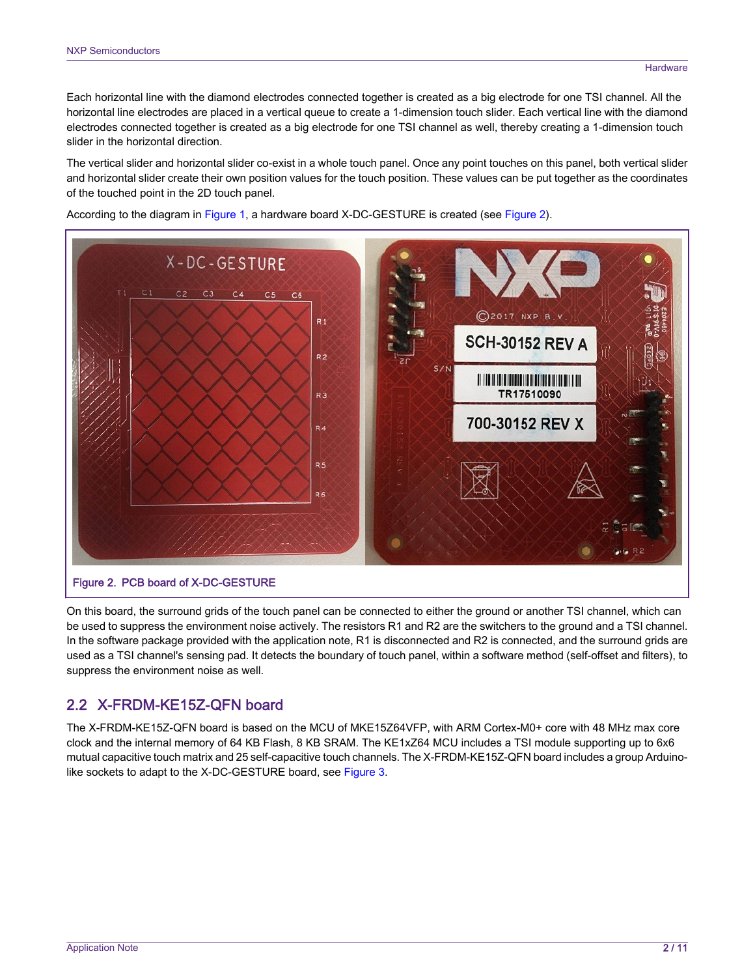Each horizontal line with the diamond electrodes connected together is created as a big electrode for one TSI channel. All the horizontal line electrodes are placed in a vertical queue to create a 1-dimension touch slider. Each vertical line with the diamond electrodes connected together is created as a big electrode for one TSI channel as well, thereby creating a 1-dimension touch slider in the horizontal direction.

The vertical slider and horizontal slider co-exist in a whole touch panel. Once any point touches on this panel, both vertical slider and horizontal slider create their own position values for the touch position. These values can be put together as the coordinates of the touched point in the 2D touch panel.

According to the diagram in [Figure 1](#page-0-0), a hardware board X-DC-GESTURE is created (see Figure 2).



On this board, the surround grids of the touch panel can be connected to either the ground or another TSI channel, which can be used to suppress the environment noise actively. The resistors R1 and R2 are the switchers to the ground and a TSI channel. In the software package provided with the application note, R1 is disconnected and R2 is connected, and the surround grids are used as a TSI channel's sensing pad. It detects the boundary of touch panel, within a software method (self-offset and filters), to suppress the environment noise as well.

# 2.2 X-FRDM-KE15Z-QFN board

The X-FRDM-KE15Z-QFN board is based on the MCU of MKE15Z64VFP, with ARM Cortex-M0+ core with 48 MHz max core clock and the internal memory of 64 KB Flash, 8 KB SRAM. The KE1xZ64 MCU includes a TSI module supporting up to 6x6 mutual capacitive touch matrix and 25 self-capacitive touch channels. The X-FRDM-KE15Z-QFN board includes a group Arduinolike sockets to adapt to the X-DC-GESTURE board, see [Figure 3](#page-2-0).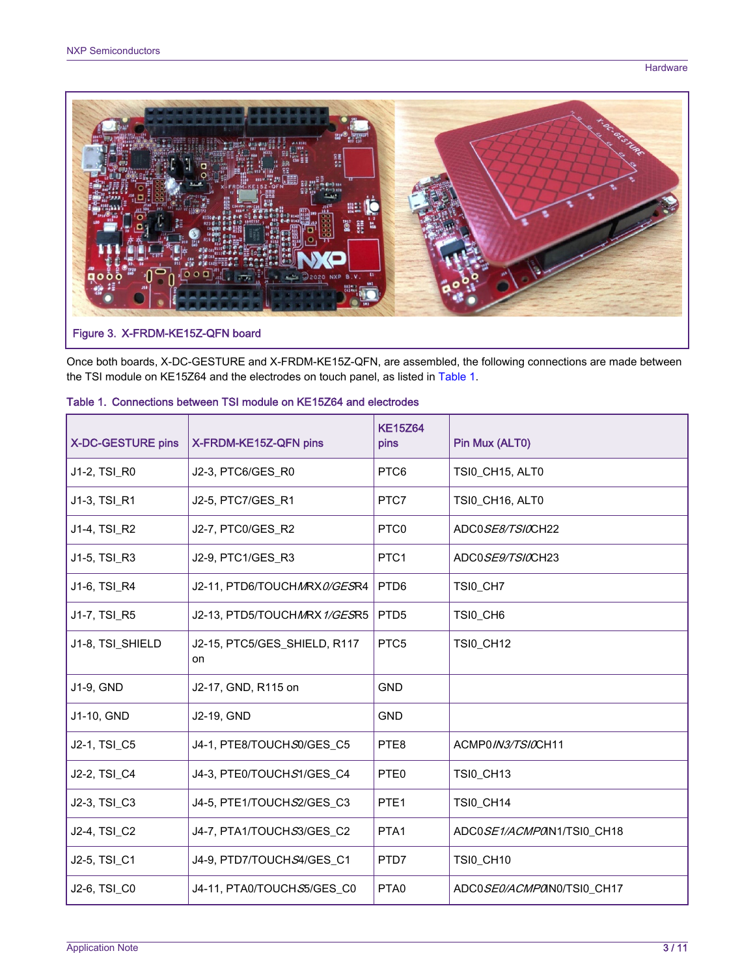<span id="page-2-0"></span>

Once both boards, X-DC-GESTURE and X-FRDM-KE15Z-QFN, are assembled, the following connections are made between the TSI module on KE15Z64 and the electrodes on touch panel, as listed in Table 1.

| <b>X-DC-GESTURE pins</b> | X-FRDM-KE15Z-QFN pins                          | <b>KE15Z64</b><br>pins | Pin Mux (ALT0)            |
|--------------------------|------------------------------------------------|------------------------|---------------------------|
| J1-2, TSI_R0             | J2-3, PTC6/GES_R0                              | PTC6                   | TSI0_CH15, ALT0           |
| J1-3, TSI_R1             | J2-5, PTC7/GES_R1                              | PTC7                   | TSI0_CH16, ALT0           |
| J1-4, TSI_R2             | J2-7, PTC0/GES_R2                              | PTC <sub>0</sub>       | ADC0SE8/TSIOCH22          |
| J1-5, TSI_R3             | J2-9, PTC1/GES_R3                              | PTC <sub>1</sub>       | ADC0 <i>SE9/TSI0</i> CH23 |
| J1-6, TSI_R4             | J2-11, PTD6/TOUCHMRX0/GESR4                    | PTD <sub>6</sub>       | TSI0_CH7                  |
| J1-7, TSI_R5             | J2-13, PTD5/TOUCH <i>M</i> RX 1/ <i>GES</i> R5 | PTD <sub>5</sub>       | TSI0_CH6                  |
| J1-8, TSI_SHIELD         | J2-15, PTC5/GES_SHIELD, R117<br>on             | PTC <sub>5</sub>       | TSI0_CH12                 |
| J1-9, GND                | J2-17, GND, R115 on                            | <b>GND</b>             |                           |
| J1-10, GND               | J2-19, GND                                     | <b>GND</b>             |                           |
| J2-1, TSI_C5             | J4-1, PTE8/TOUCH S0/GES_C5                     | PTE8                   | ACMP0/N3/TS/0CH11         |
| J2-2, TSI_C4             | J4-3, PTE0/TOUCHS1/GES_C4                      | PTE <sub>0</sub>       | <b>TSI0_CH13</b>          |
| J2-3, TSI_C3             | J4-5, PTE1/TOUCHS2/GES_C3                      | PTE <sub>1</sub>       | <b>TSI0_CH14</b>          |
| J2-4, TSI_C2             | J4-7, PTA1/TOUCHS3/GES_C2                      | PTA <sub>1</sub>       | ADC0SE1/ACMPON1/TSI0_CH18 |
| J2-5, TSI_C1             | J4-9, PTD7/TOUCHS4/GES_C1                      | PTD7                   | TSI0_CH10                 |
| J2-6, TSI_C0             | J4-11, PTA0/TOUCHS5/GES_C0                     | PTA <sub>0</sub>       | ADC0SE0/ACMPON0/TSI0_CH17 |

### Table 1. Connections between TSI module on KE15Z64 and electrodes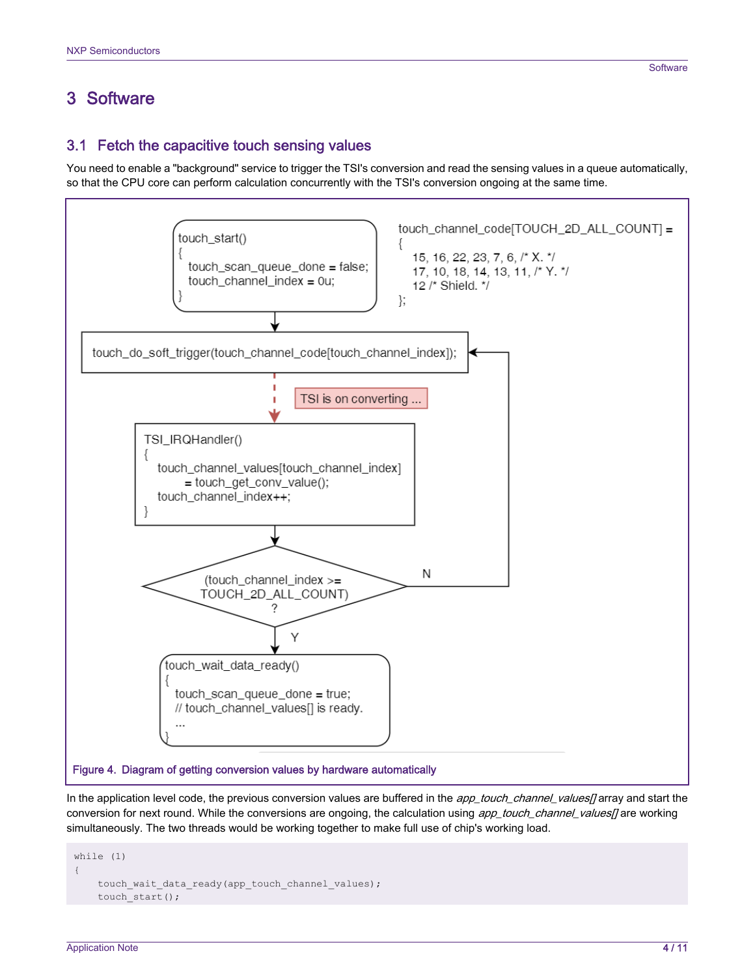# <span id="page-3-0"></span>3 Software

You need to enable a "background" service to trigger the TSI's conversion and read the sensing values in a queue automatically, so that the CPU core can perform calculation concurrently with the TSI's conversion ongoing at the same time.



In the application level code, the previous conversion values are buffered in the app\_touch\_channel\_values[] array and start the conversion for next round. While the conversions are ongoing, the calculation using app\_touch\_channel\_values[] are working simultaneously. The two threads would be working together to make full use of chip's working load.

```
while (1) 
{ 
     touch_wait_data_ready(app_touch_channel_values);
    touch start();
```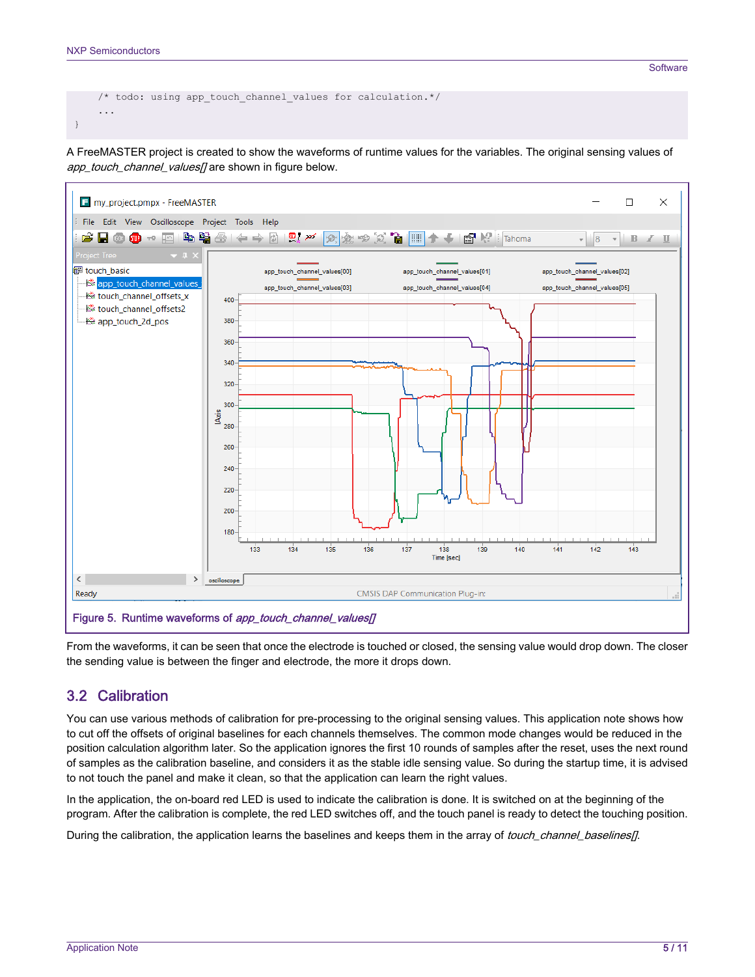```
/* todo: using app touch channel values for calculation.*/
     ... 
}
```
A FreeMASTER project is created to show the waveforms of runtime values for the variables. The original sensing values of app\_touch\_channel\_values[] are shown in figure below.



From the waveforms, it can be seen that once the electrode is touched or closed, the sensing value would drop down. The closer the sending value is between the finger and electrode, the more it drops down.

### 3.2 Calibration

You can use various methods of calibration for pre-processing to the original sensing values. This application note shows how to cut off the offsets of original baselines for each channels themselves. The common mode changes would be reduced in the position calculation algorithm later. So the application ignores the first 10 rounds of samples after the reset, uses the next round of samples as the calibration baseline, and considers it as the stable idle sensing value. So during the startup time, it is advised to not touch the panel and make it clean, so that the application can learn the right values.

In the application, the on-board red LED is used to indicate the calibration is done. It is switched on at the beginning of the program. After the calibration is complete, the red LED switches off, and the touch panel is ready to detect the touching position.

During the calibration, the application learns the baselines and keeps them in the array of touch\_channel\_baselines[].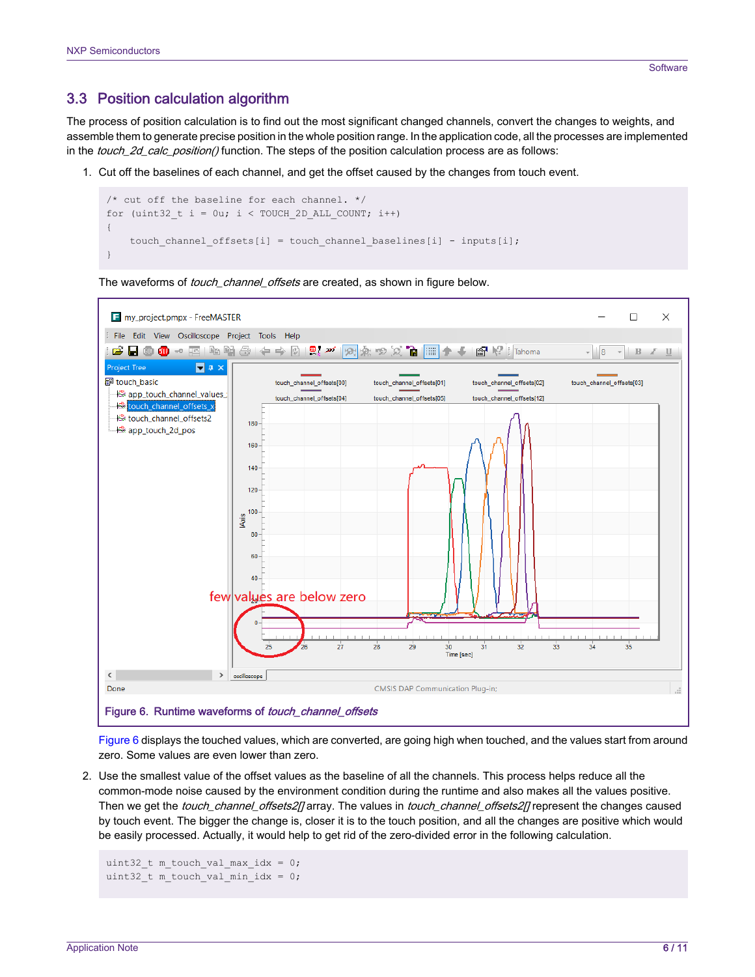### 3.3 Position calculation algorithm

The process of position calculation is to find out the most significant changed channels, convert the changes to weights, and assemble them to generate precise position in the whole position range. In the application code, all the processes are implemented in the *touch 2d calc position()* function. The steps of the position calculation process are as follows:

1. Cut off the baselines of each channel, and get the offset caused by the changes from touch event.

```
/* cut off the baseline for each channel. */for (uint32 t i = 0u; i < TOUCH 2D ALL COUNT; i++)
{ 
    touch channel offsets[i] = touch channel baselines[i] - inputs[i];
}
```


The waveforms of *touch\_channel\_offsets* are created, as shown in figure below.

Figure 6 displays the touched values, which are converted, are going high when touched, and the values start from around zero. Some values are even lower than zero.

2. Use the smallest value of the offset values as the baseline of all the channels. This process helps reduce all the common-mode noise caused by the environment condition during the runtime and also makes all the values positive. Then we get the touch\_channel\_offsets2[] array. The values in touch\_channel\_offsets2[] represent the changes caused by touch event. The bigger the change is, closer it is to the touch position, and all the changes are positive which would be easily processed. Actually, it would help to get rid of the zero-divided error in the following calculation.

```
uint32 t m touch val max idx = 0;
uint32 t m touch val min idx = 0;
```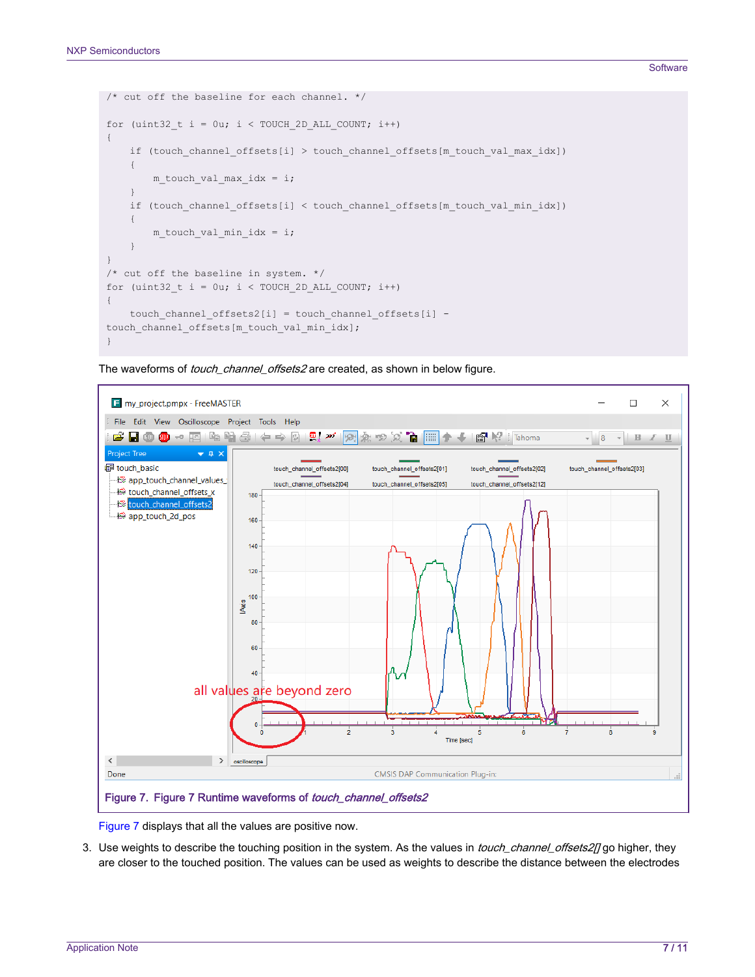#### **Software**

```
/* cut off the baseline for each channel. */
for (uint32 t i = 0u; i < TOUCH 2D ALL COUNT; i++)
{ 
    if (touch channel offsets[i] > touch channel offsets[m touch val max idx])
      { 
         m touch val max idx = i;
      } 
    if (touch channel offsets[i] < touch channel offsets[m_touch_val_min_idx])
\left\{\begin{array}{ccc} \end{array}\right\}m touch val min idx = i;
      } 
} 
/* cut off the baseline in system. */ 
for (uint32 t i = 0u; i < TOUCH 2D ALL COUNT; i++)
{
    touch channel offsets2[i] = touch channel offsets[i] -
touch channel offsets[m touch val min idx];
}
```
The waveforms of *touch\_channel\_offsets2* are created, as shown in below figure.



Figure 7 displays that all the values are positive now.

3. Use weights to describe the touching position in the system. As the values in touch\_channel\_offsets2[] go higher, they are closer to the touched position. The values can be used as weights to describe the distance between the electrodes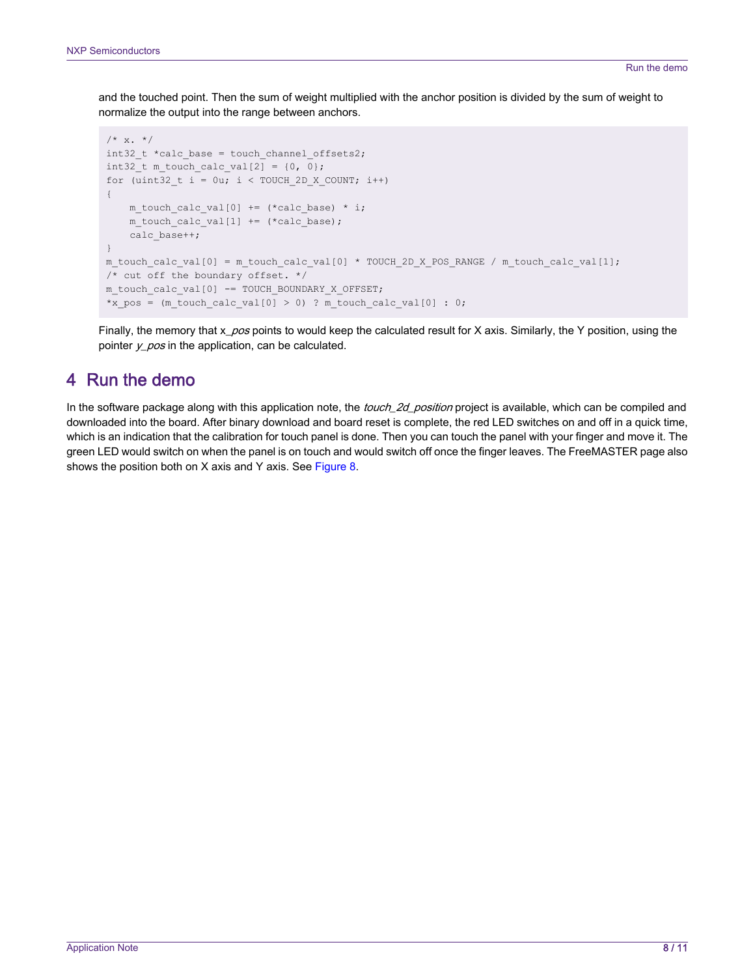<span id="page-7-0"></span>and the touched point. Then the sum of weight multiplied with the anchor position is divided by the sum of weight to normalize the output into the range between anchors.

```
/* x. * /int32 t *calc base = touch channel offsets2;
int32 t m touch calc val[2] = \{0, 0\};for (uint32 t i = 0u; i < TOUCH 2D X COUNT; i++)
{ 
    m touch calc val[0] += (*calc base) * i;
    m touch calc val[1] += (*calc base);
     calc_base++; 
} 
m_touch_calc_val[0] = m_touch_calc_val[0] * TOUCH_2D_X_POS_RANGE / m_touch_calc_val[1];
/* cut off the boundary offset. */ 
m_touch_calc_val[0] -= TOUCH_BOUNDARY_X_OFFSET; 
*x pos = (m_touch_calc_val[0] > 0) ? m_touch_calc_val[0] : 0;
```
Finally, the memory that x\_pos points to would keep the calculated result for X axis. Similarly, the Y position, using the pointer  $y_p \text{cos}$  in the application, can be calculated.

# 4 Run the demo

In the software package along with this application note, the touch\_2d\_position project is available, which can be compiled and downloaded into the board. After binary download and board reset is complete, the red LED switches on and off in a quick time, which is an indication that the calibration for touch panel is done. Then you can touch the panel with your finger and move it. The green LED would switch on when the panel is on touch and would switch off once the finger leaves. The FreeMASTER page also shows the position both on X axis and Y axis. See [Figure 8.](#page-8-0)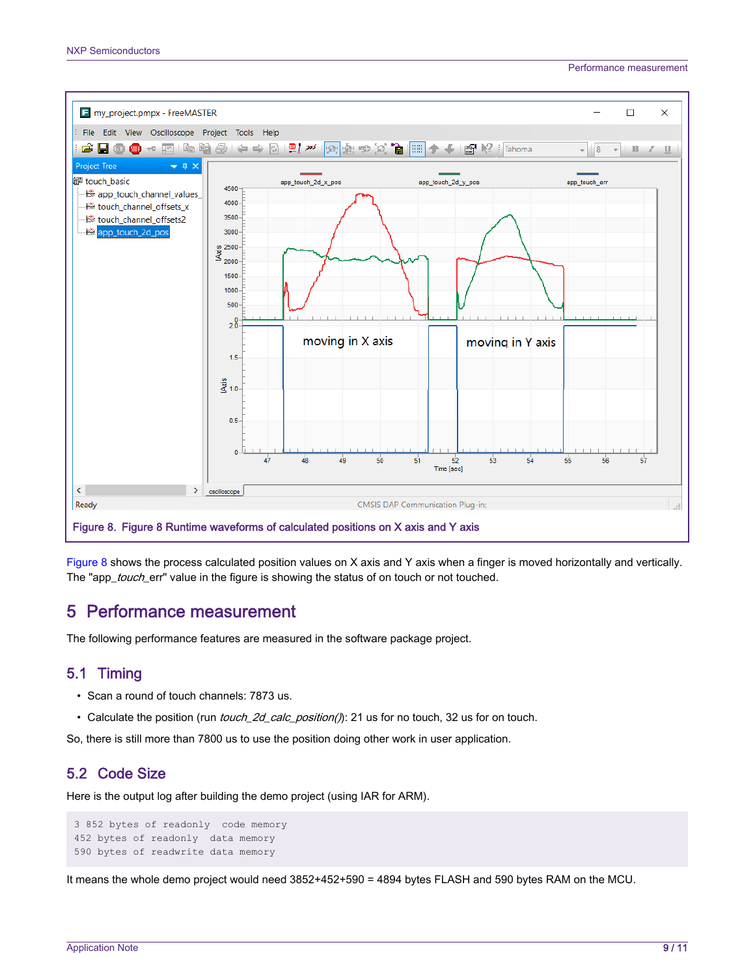<span id="page-8-0"></span>

Figure 8 shows the process calculated position values on X axis and Y axis when a finger is moved horizontally and vertically. The "app\_touch\_err" value in the figure is showing the status of on touch or not touched.

# 5 Performance measurement

The following performance features are measured in the software package project.

### 5.1 Timing

- Scan a round of touch channels: 7873 us.
- Calculate the position (run *touch\_2d\_calc\_position()*): 21 us for no touch, 32 us for on touch.

So, there is still more than 7800 us to use the position doing other work in user application.

### 5.2 Code Size

Here is the output log after building the demo project (using IAR for ARM).

```
3 852 bytes of readonly code memory
452 bytes of readonly data memory 
590 bytes of readwrite data memory
```
It means the whole demo project would need 3852+452+590 = 4894 bytes FLASH and 590 bytes RAM on the MCU.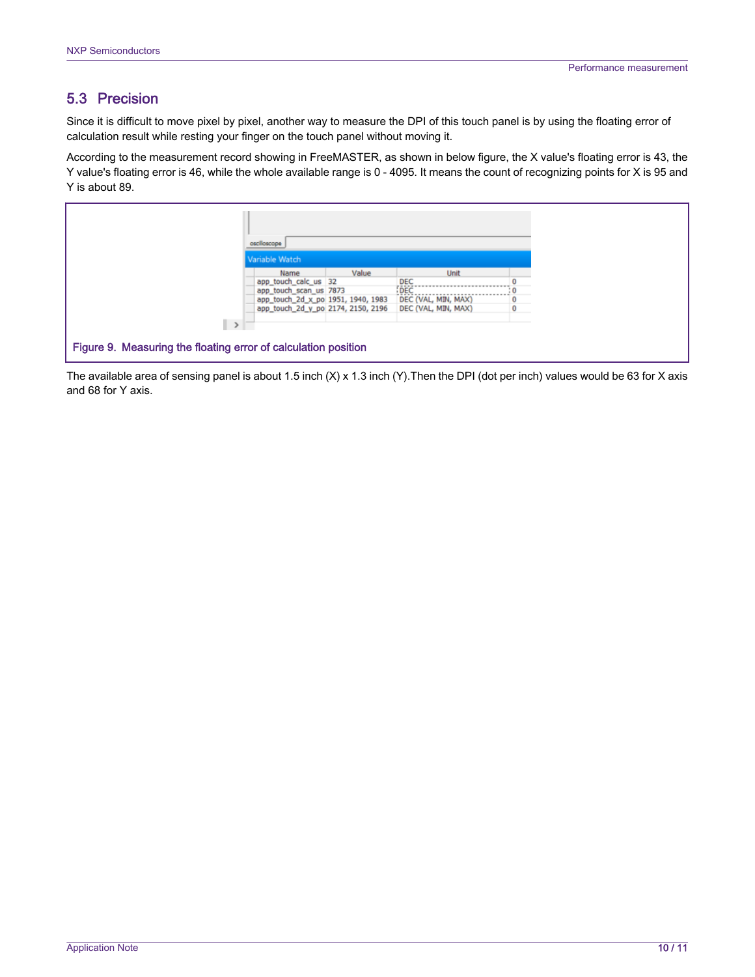### 5.3 Precision

Since it is difficult to move pixel by pixel, another way to measure the DPI of this touch panel is by using the floating error of calculation result while resting your finger on the touch panel without moving it.

According to the measurement record showing in FreeMASTER, as shown in below figure, the X value's floating error is 43, the Y value's floating error is 46, while the whole available range is 0 - 4095. It means the count of recognizing points for X is 95 and Y is about 89.

|                                                                | oscilloscope                       |       |                                                        |   |  |
|----------------------------------------------------------------|------------------------------------|-------|--------------------------------------------------------|---|--|
| Variable Watch                                                 |                                    |       |                                                        |   |  |
|                                                                | Name                               | Value | Unit                                                   |   |  |
|                                                                | app_touch_calc_us 32               |       | DEC                                                    |   |  |
|                                                                | app_touch_scan_us_7873             |       | DEC                                                    |   |  |
|                                                                | app_touch_2d_x_po 1951, 1940, 1983 |       | DEC (VAL, MIN, MAX)                                    | 0 |  |
|                                                                |                                    |       | app_touch_2d_y_po_2174, 2150, 2196 DEC (VAL, MIN, MAX) | 0 |  |
|                                                                |                                    |       |                                                        |   |  |
|                                                                |                                    |       |                                                        |   |  |
| Figure 9. Measuring the floating error of calculation position |                                    |       |                                                        |   |  |

The available area of sensing panel is about 1.5 inch (X) x 1.3 inch (Y).Then the DPI (dot per inch) values would be 63 for X axis and 68 for Y axis.